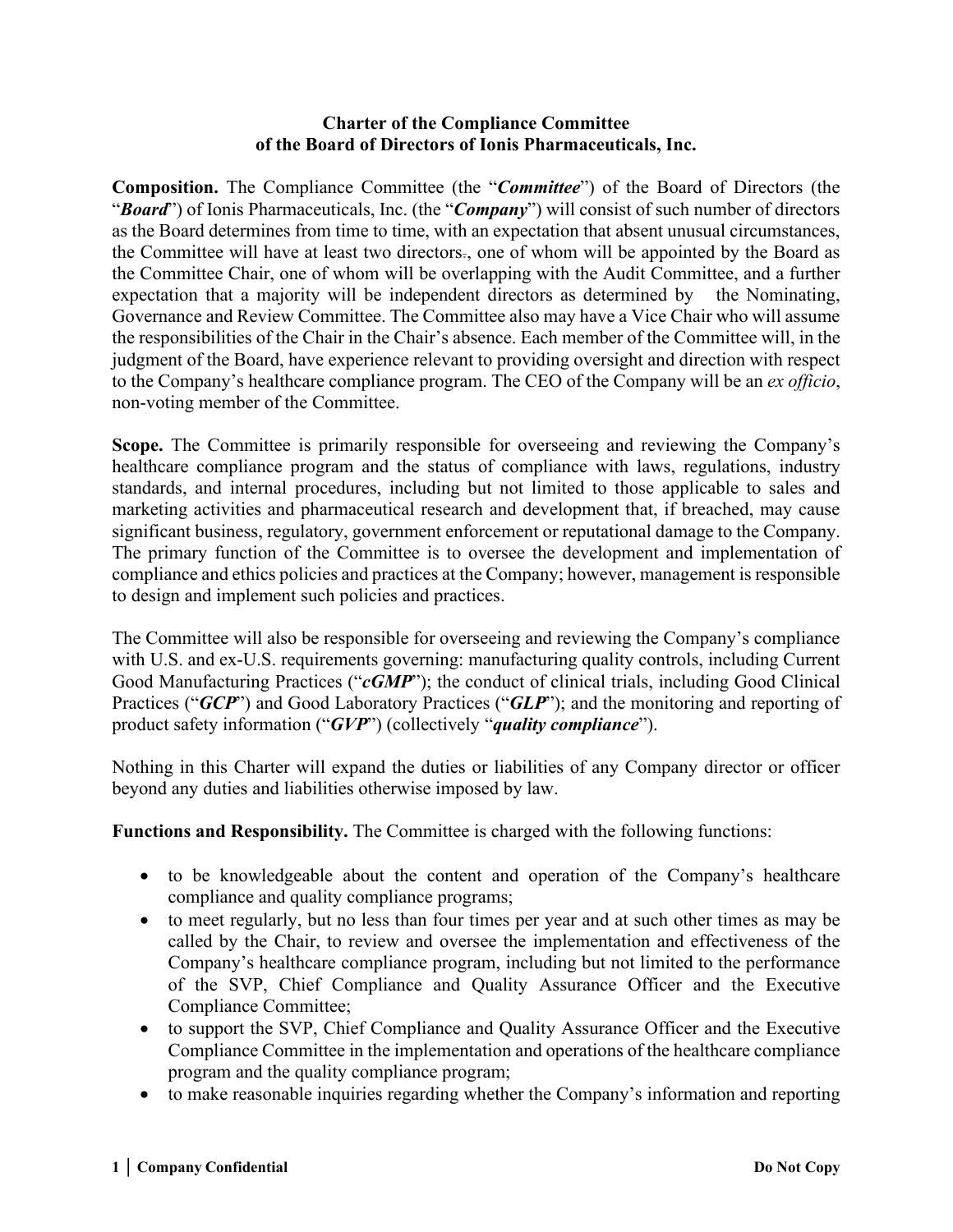## **Charter of the Compliance Committee of the Board of Directors of Ionis Pharmaceuticals, Inc.**

**Composition.** The Compliance Committee (the "*Committee*") of the Board of Directors (the "*Board*") of Ionis Pharmaceuticals, Inc. (the "*Company*") will consist of such number of directors as the Board determines from time to time, with an expectation that absent unusual circumstances, the Committee will have at least two directors., one of whom will be appointed by the Board as the Committee Chair, one of whom will be overlapping with the Audit Committee, and a further expectation that a majority will be independent directors as determined by the Nominating, Governance and Review Committee. The Committee also may have a Vice Chair who will assume the responsibilities of the Chair in the Chair's absence. Each member of the Committee will, in the judgment of the Board, have experience relevant to providing oversight and direction with respect to the Company's healthcare compliance program. The CEO of the Company will be an *ex officio*, non-voting member of the Committee.

**Scope.** The Committee is primarily responsible for overseeing and reviewing the Company's healthcare compliance program and the status of compliance with laws, regulations, industry standards, and internal procedures, including but not limited to those applicable to sales and marketing activities and pharmaceutical research and development that, if breached, may cause significant business, regulatory, government enforcement or reputational damage to the Company. The primary function of the Committee is to oversee the development and implementation of compliance and ethics policies and practices at the Company; however, management is responsible to design and implement such policies and practices.

The Committee will also be responsible for overseeing and reviewing the Company's compliance with U.S. and ex-U.S. requirements governing: manufacturing quality controls, including Current Good Manufacturing Practices ("*cGMP*"); the conduct of clinical trials, including Good Clinical Practices ("*GCP*") and Good Laboratory Practices ("*GLP*"); and the monitoring and reporting of product safety information ("*GVP*") (collectively "*quality compliance*").

Nothing in this Charter will expand the duties or liabilities of any Company director or officer beyond any duties and liabilities otherwise imposed by law.

**Functions and Responsibility.** The Committee is charged with the following functions:

- to be knowledgeable about the content and operation of the Company's healthcare compliance and quality compliance programs;
- to meet regularly, but no less than four times per year and at such other times as may be called by the Chair, to review and oversee the implementation and effectiveness of the Company's healthcare compliance program, including but not limited to the performance of the SVP, Chief Compliance and Quality Assurance Officer and the Executive Compliance Committee;
- to support the SVP, Chief Compliance and Quality Assurance Officer and the Executive Compliance Committee in the implementation and operations of the healthcare compliance program and the quality compliance program;
- to make reasonable inquiries regarding whether the Company's information and reporting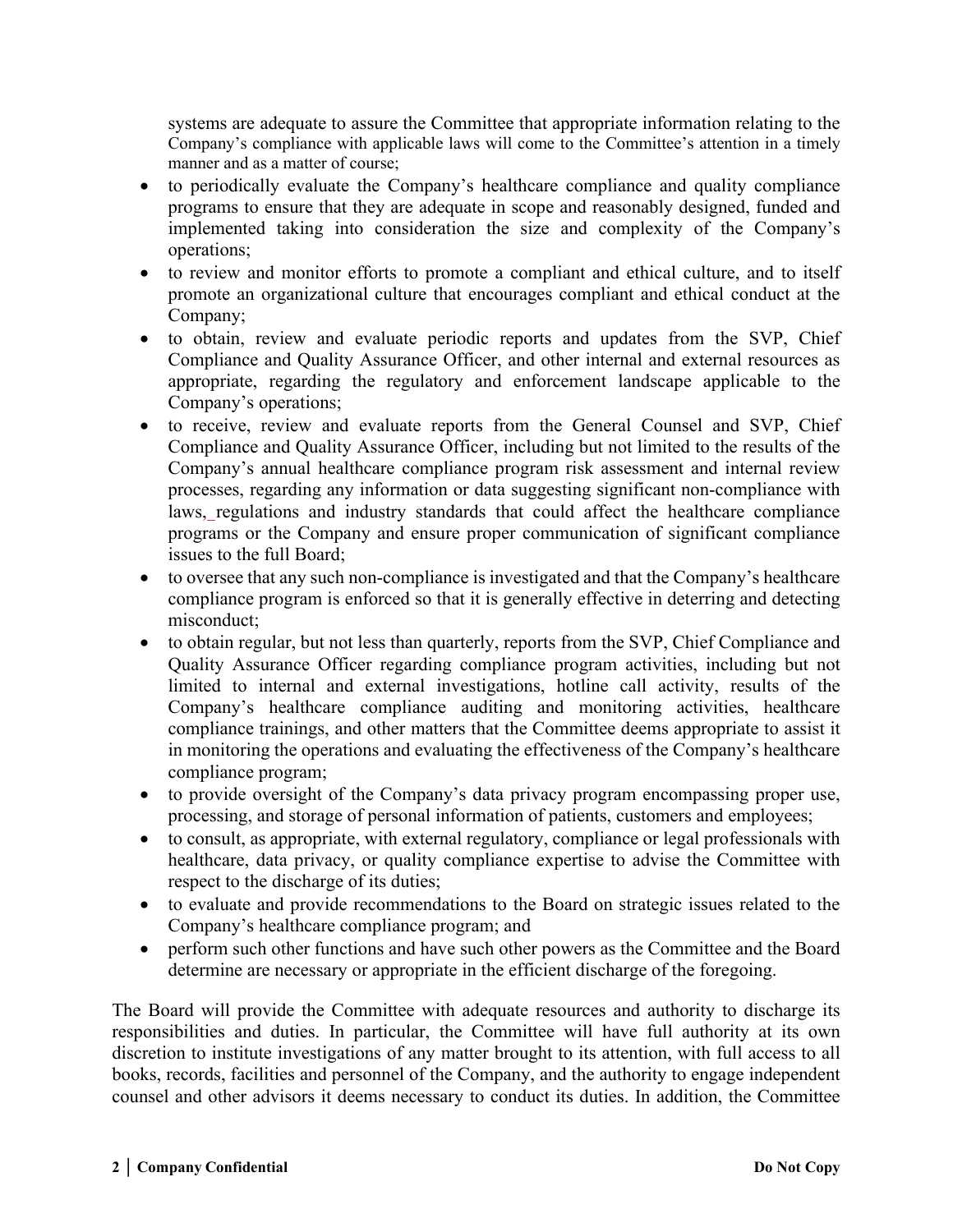systems are adequate to assure the Committee that appropriate information relating to the Company's compliance with applicable laws will come to the Committee's attention in a timely manner and as a matter of course;

- to periodically evaluate the Company's healthcare compliance and quality compliance programs to ensure that they are adequate in scope and reasonably designed, funded and implemented taking into consideration the size and complexity of the Company's operations;
- to review and monitor efforts to promote a compliant and ethical culture, and to itself promote an organizational culture that encourages compliant and ethical conduct at the Company;
- to obtain, review and evaluate periodic reports and updates from the SVP, Chief Compliance and Quality Assurance Officer, and other internal and external resources as appropriate, regarding the regulatory and enforcement landscape applicable to the Company's operations;
- to receive, review and evaluate reports from the General Counsel and SVP, Chief Compliance and Quality Assurance Officer, including but not limited to the results of the Company's annual healthcare compliance program risk assessment and internal review processes, regarding any information or data suggesting significant non-compliance with laws, regulations and industry standards that could affect the healthcare compliance programs or the Company and ensure proper communication of significant compliance issues to the full Board;
- to oversee that any such non-compliance is investigated and that the Company's healthcare compliance program is enforced so that it is generally effective in deterring and detecting misconduct;
- to obtain regular, but not less than quarterly, reports from the SVP, Chief Compliance and Quality Assurance Officer regarding compliance program activities, including but not limited to internal and external investigations, hotline call activity, results of the Company's healthcare compliance auditing and monitoring activities, healthcare compliance trainings, and other matters that the Committee deems appropriate to assist it in monitoring the operations and evaluating the effectiveness of the Company's healthcare compliance program;
- to provide oversight of the Company's data privacy program encompassing proper use, processing, and storage of personal information of patients, customers and employees;
- to consult, as appropriate, with external regulatory, compliance or legal professionals with healthcare, data privacy, or quality compliance expertise to advise the Committee with respect to the discharge of its duties;
- to evaluate and provide recommendations to the Board on strategic issues related to the Company's healthcare compliance program; and
- perform such other functions and have such other powers as the Committee and the Board determine are necessary or appropriate in the efficient discharge of the foregoing.

The Board will provide the Committee with adequate resources and authority to discharge its responsibilities and duties. In particular, the Committee will have full authority at its own discretion to institute investigations of any matter brought to its attention, with full access to all books, records, facilities and personnel of the Company, and the authority to engage independent counsel and other advisors it deems necessary to conduct its duties. In addition, the Committee